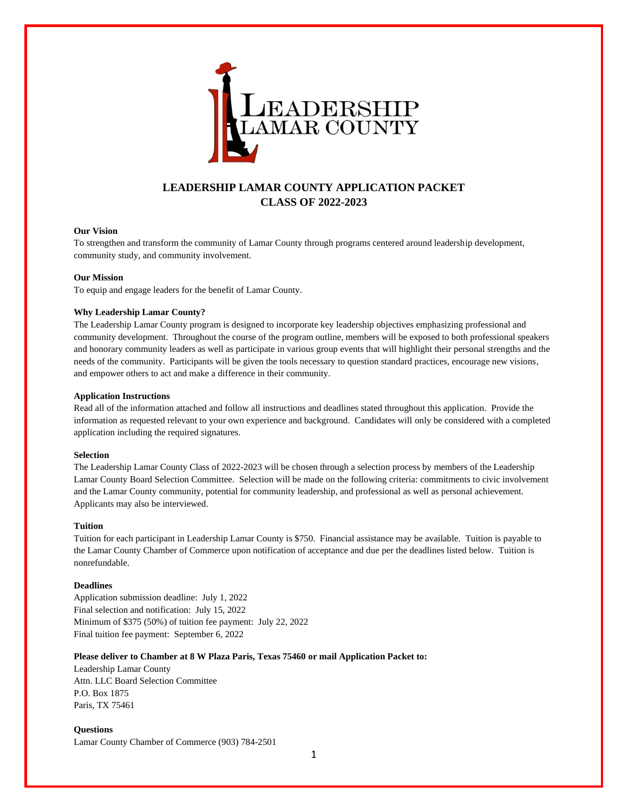

# **LEADERSHIP LAMAR COUNTY APPLICATION PACKET CLASS OF 2022-2023**

#### **Our Vision**

To strengthen and transform the community of Lamar County through programs centered around leadership development, community study, and community involvement.

#### **Our Mission**

To equip and engage leaders for the benefit of Lamar County.

### **Why Leadership Lamar County?**

The Leadership Lamar County program is designed to incorporate key leadership objectives emphasizing professional and community development. Throughout the course of the program outline, members will be exposed to both professional speakers and honorary community leaders as well as participate in various group events that will highlight their personal strengths and the needs of the community. Participants will be given the tools necessary to question standard practices, encourage new visions, and empower others to act and make a difference in their community.

#### **Application Instructions**

Read all of the information attached and follow all instructions and deadlines stated throughout this application. Provide the information as requested relevant to your own experience and background. Candidates will only be considered with a completed application including the required signatures.

### **Selection**

The Leadership Lamar County Class of 2022-2023 will be chosen through a selection process by members of the Leadership Lamar County Board Selection Committee. Selection will be made on the following criteria: commitments to civic involvement and the Lamar County community, potential for community leadership, and professional as well as personal achievement. Applicants may also be interviewed.

#### **Tuition**

Tuition for each participant in Leadership Lamar County is \$750. Financial assistance may be available. Tuition is payable to the Lamar County Chamber of Commerce upon notification of acceptance and due per the deadlines listed below. Tuition is nonrefundable.

#### **Deadlines**

Application submission deadline: July 1, 2022 Final selection and notification: July 15, 2022 Minimum of \$375 (50%) of tuition fee payment: July 22, 2022 Final tuition fee payment: September 6, 2022

#### **Please deliver to Chamber at 8 W Plaza Paris, Texas 75460 or mail Application Packet to:**

Leadership Lamar County Attn. LLC Board Selection Committee P.O. Box 1875 Paris, TX 75461

### **Questions** Lamar County Chamber of Commerce (903) 784-2501

1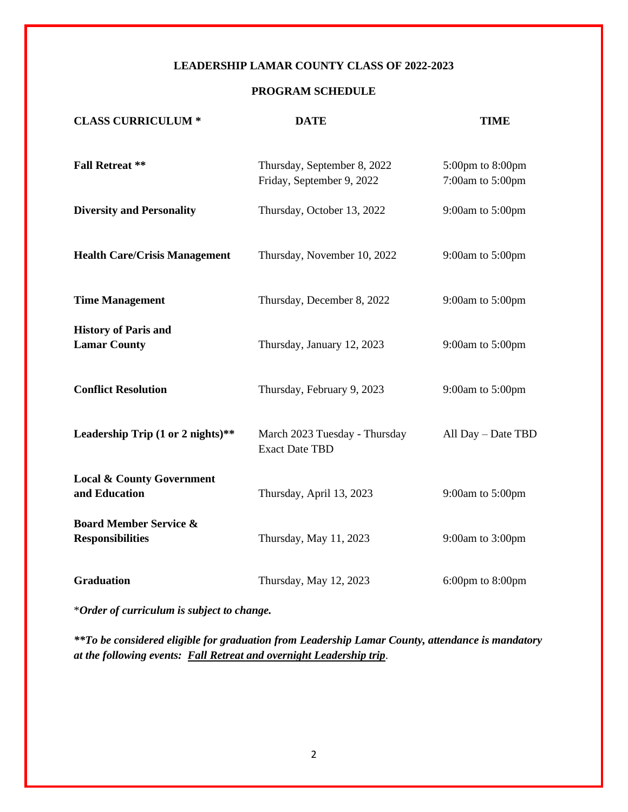## **LEADERSHIP LAMAR COUNTY CLASS OF 2022-2023**

## **PROGRAM SCHEDULE**

| <b>CLASS CURRICULUM *</b>                                    | <b>DATE</b>                                              | <b>TIME</b>                          |
|--------------------------------------------------------------|----------------------------------------------------------|--------------------------------------|
| <b>Fall Retreat **</b>                                       | Thursday, September 8, 2022<br>Friday, September 9, 2022 | 5:00pm to 8:00pm<br>7:00am to 5:00pm |
| <b>Diversity and Personality</b>                             | Thursday, October 13, 2022                               | 9:00am to 5:00pm                     |
| <b>Health Care/Crisis Management</b>                         | Thursday, November 10, 2022                              | 9:00am to 5:00pm                     |
| <b>Time Management</b>                                       | Thursday, December 8, 2022                               | 9:00am to 5:00pm                     |
| <b>History of Paris and</b><br><b>Lamar County</b>           | Thursday, January 12, 2023                               | 9:00am to 5:00pm                     |
| <b>Conflict Resolution</b>                                   | Thursday, February 9, 2023                               | 9:00am to 5:00pm                     |
| Leadership Trip (1 or 2 nights)**                            | March 2023 Tuesday - Thursday<br><b>Exact Date TBD</b>   | All Day - Date TBD                   |
| <b>Local &amp; County Government</b><br>and Education        | Thursday, April 13, 2023                                 | 9:00am to 5:00pm                     |
| <b>Board Member Service &amp;</b><br><b>Responsibilities</b> | Thursday, May 11, 2023                                   | 9:00am to 3:00pm                     |
| <b>Graduation</b>                                            | Thursday, May 12, 2023                                   | $6:00 \text{pm}$ to $8:00 \text{pm}$ |

\**Order of curriculum is subject to change.*

*\*\*To be considered eligible for graduation from Leadership Lamar County, attendance is mandatory at the following events: Fall Retreat and overnight Leadership trip*.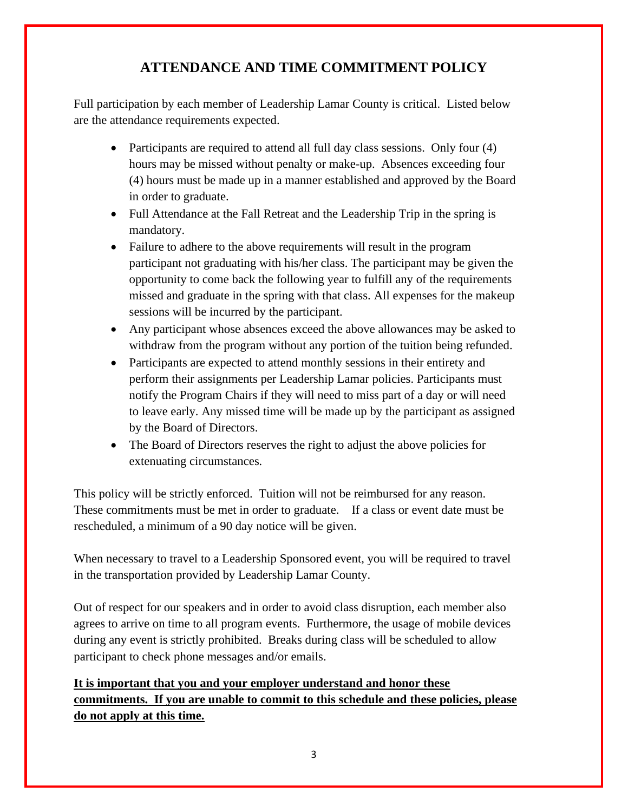# **ATTENDANCE AND TIME COMMITMENT POLICY**

Full participation by each member of Leadership Lamar County is critical. Listed below are the attendance requirements expected.

- Participants are required to attend all full day class sessions. Only four (4) hours may be missed without penalty or make-up. Absences exceeding four (4) hours must be made up in a manner established and approved by the Board in order to graduate.
- Full Attendance at the Fall Retreat and the Leadership Trip in the spring is mandatory.
- Failure to adhere to the above requirements will result in the program participant not graduating with his/her class. The participant may be given the opportunity to come back the following year to fulfill any of the requirements missed and graduate in the spring with that class. All expenses for the makeup sessions will be incurred by the participant.
- Any participant whose absences exceed the above allowances may be asked to withdraw from the program without any portion of the tuition being refunded.
- Participants are expected to attend monthly sessions in their entirety and perform their assignments per Leadership Lamar policies. Participants must notify the Program Chairs if they will need to miss part of a day or will need to leave early. Any missed time will be made up by the participant as assigned by the Board of Directors.
- The Board of Directors reserves the right to adjust the above policies for extenuating circumstances*.*

This policy will be strictly enforced. Tuition will not be reimbursed for any reason. These commitments must be met in order to graduate. If a class or event date must be rescheduled, a minimum of a 90 day notice will be given.

When necessary to travel to a Leadership Sponsored event, you will be required to travel in the transportation provided by Leadership Lamar County.

Out of respect for our speakers and in order to avoid class disruption, each member also agrees to arrive on time to all program events. Furthermore, the usage of mobile devices during any event is strictly prohibited. Breaks during class will be scheduled to allow participant to check phone messages and/or emails.

# **It is important that you and your employer understand and honor these commitments. If you are unable to commit to this schedule and these policies, please do not apply at this time.**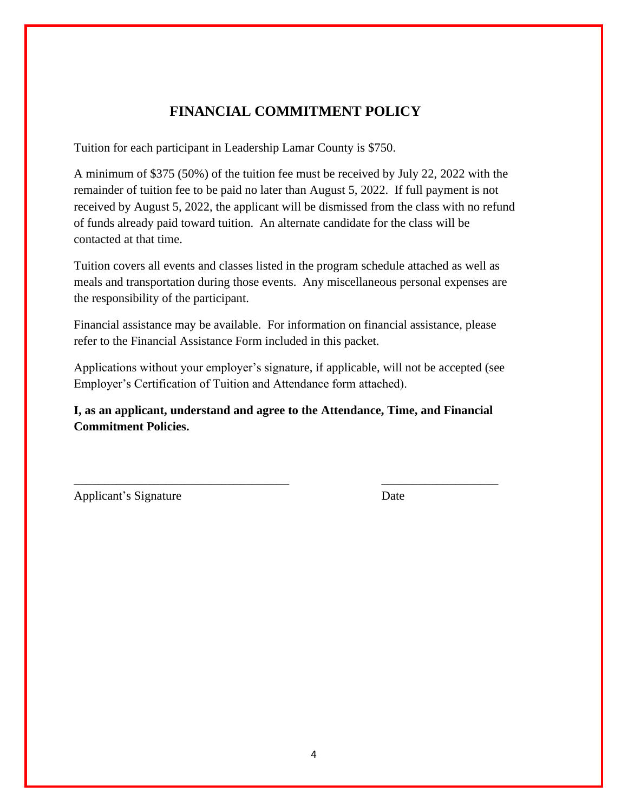# **FINANCIAL COMMITMENT POLICY**

Tuition for each participant in Leadership Lamar County is \$750.

A minimum of \$375 (50%) of the tuition fee must be received by July 22, 2022 with the remainder of tuition fee to be paid no later than August 5, 2022. If full payment is not received by August 5, 2022, the applicant will be dismissed from the class with no refund of funds already paid toward tuition. An alternate candidate for the class will be contacted at that time.

Tuition covers all events and classes listed in the program schedule attached as well as meals and transportation during those events. Any miscellaneous personal expenses are the responsibility of the participant.

Financial assistance may be available. For information on financial assistance, please refer to the Financial Assistance Form included in this packet.

Applications without your employer's signature, if applicable, will not be accepted (see Employer's Certification of Tuition and Attendance form attached).

**I, as an applicant, understand and agree to the Attendance, Time, and Financial Commitment Policies.** 

\_\_\_\_\_\_\_\_\_\_\_\_\_\_\_\_\_\_\_\_\_\_\_\_\_\_\_\_\_\_\_\_\_\_\_ \_\_\_\_\_\_\_\_\_\_\_\_\_\_\_\_\_\_\_

Applicant's Signature Date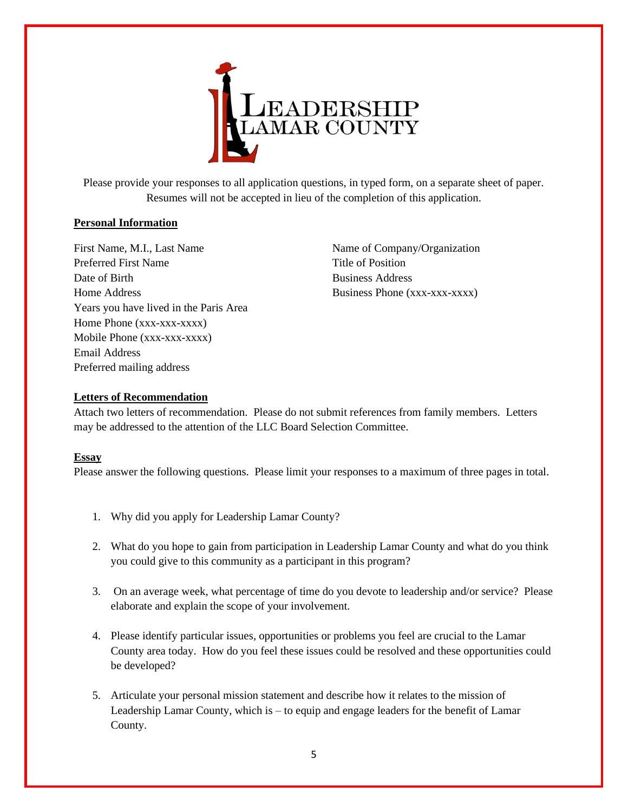

Please provide your responses to all application questions, in typed form, on a separate sheet of paper. Resumes will not be accepted in lieu of the completion of this application.

## **Personal Information**

First Name, M.I., Last Name Name Name of Company/Organization Preferred First Name Title of Position Date of Birth Business Address Home Address Business Phone (xxx-xxx-xxxx) Years you have lived in the Paris Area Home Phone (xxx-xxx-xxxx) Mobile Phone (xxx-xxx-xxxx) Email Address Preferred mailing address

## **Letters of Recommendation**

Attach two letters of recommendation. Please do not submit references from family members. Letters may be addressed to the attention of the LLC Board Selection Committee.

## **Essay**

Please answer the following questions. Please limit your responses to a maximum of three pages in total.

- 1. Why did you apply for Leadership Lamar County?
- 2. What do you hope to gain from participation in Leadership Lamar County and what do you think you could give to this community as a participant in this program?
- 3. On an average week, what percentage of time do you devote to leadership and/or service? Please elaborate and explain the scope of your involvement.
- 4. Please identify particular issues, opportunities or problems you feel are crucial to the Lamar County area today. How do you feel these issues could be resolved and these opportunities could be developed?
- 5. Articulate your personal mission statement and describe how it relates to the mission of Leadership Lamar County, which is – to equip and engage leaders for the benefit of Lamar County.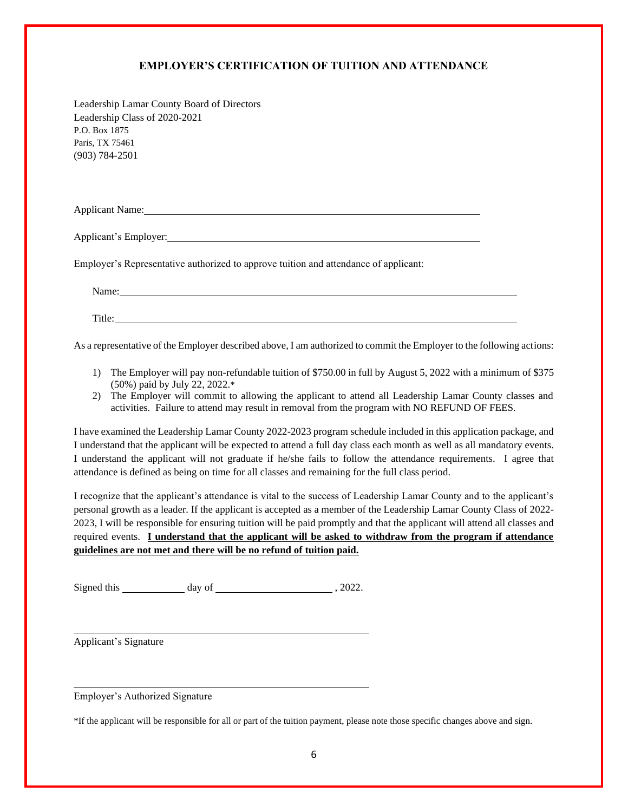## **EMPLOYER'S CERTIFICATION OF TUITION AND ATTENDANCE**

Leadership Lamar County Board of Directors Leadership Class of 2020-2021 P.O. Box 1875 Paris, TX 75461 (903) 784-2501

Applicant Name:

Applicant's Employer:

Employer's Representative authorized to approve tuition and attendance of applicant:

Name: Name:

Title:

As a representative of the Employer described above, I am authorized to commit the Employer to the following actions:

- 1) The Employer will pay non-refundable tuition of \$750.00 in full by August 5, 2022 with a minimum of \$375 (50%) paid by July 22, 2022.\*
- 2) The Employer will commit to allowing the applicant to attend all Leadership Lamar County classes and activities. Failure to attend may result in removal from the program with NO REFUND OF FEES.

I have examined the Leadership Lamar County 2022-2023 program schedule included in this application package, and I understand that the applicant will be expected to attend a full day class each month as well as all mandatory events. I understand the applicant will not graduate if he/she fails to follow the attendance requirements. I agree that attendance is defined as being on time for all classes and remaining for the full class period.

I recognize that the applicant's attendance is vital to the success of Leadership Lamar County and to the applicant's personal growth as a leader. If the applicant is accepted as a member of the Leadership Lamar County Class of 2022- 2023, I will be responsible for ensuring tuition will be paid promptly and that the applicant will attend all classes and required events. **I understand that the applicant will be asked to withdraw from the program if attendance guidelines are not met and there will be no refund of tuition paid.**

Signed this day of , 2022.

Applicant's Signature

Employer's Authorized Signature

\*If the applicant will be responsible for all or part of the tuition payment, please note those specific changes above and sign.